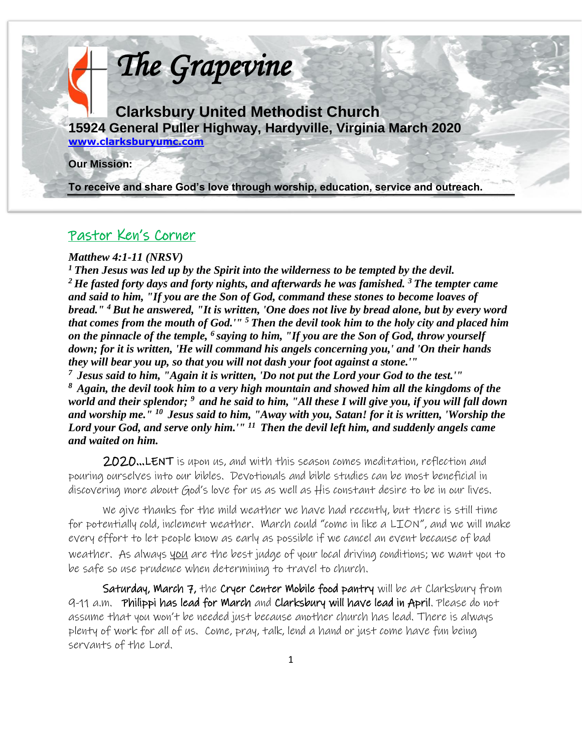

### Pastor Ken's Corner

#### *Matthew 4:1-11 (NRSV)*

l

*<sup>1</sup>Then Jesus was led up by the Spirit into the wilderness to be tempted by the devil. <sup>2</sup>He fasted forty days and forty nights, and afterwards he was famished. <sup>3</sup>The tempter came and said to him, "If you are the Son of God, command these stones to become loaves of bread." <sup>4</sup>But he answered, "It is written, 'One does not live by bread alone, but by every word that comes from the mouth of God.'" <sup>5</sup>Then the devil took him to the holy city and placed him on the pinnacle of the temple, <sup>6</sup>saying to him, "If you are the Son of God, throw yourself down; for it is written, 'He will command his angels concerning you,' and 'On their hands they will bear you up, so that you will not dash your foot against a stone.'"* 

*<sup>7</sup>Jesus said to him, "Again it is written, 'Do not put the Lord your God to the test.'" <sup>8</sup>Again, the devil took him to a very high mountain and showed him all the kingdoms of the world and their splendor; <sup>9</sup>and he said to him, "All these I will give you, if you will fall down and worship me." <sup>10</sup>Jesus said to him, "Away with you, Satan! for it is written, 'Worship the Lord your God, and serve only him.'" <sup>11</sup>Then the devil left him, and suddenly angels came and waited on him.* 

2020…LENT is upon us, and with this season comes meditation, reflection and pouring ourselves into our bibles. Devotionals and bible studies can be most beneficial in discovering more about God's love for us as well as His constant desire to be in our lives.

We give thanks for the mild weather we have had recently, but there is still time for potentially cold, inclement weather. March could "come in like a LION", and we will make every effort to let people know as early as possible if we cancel an event because of bad weather. As always you are the best judge of your local driving conditions; we want you to be safe so use prudence when determining to travel to church.

Saturday, March 7, the Cryer Center Mobile food pantry will be at Clarksbury from 9-11 a.m. Philippi has lead for March and Clarksbury will have lead in April. Please do not assume that you won't be needed just because another church has lead. There is always plenty of work for all of us. Come, pray, talk, lend a hand or just come have fun being servants of the Lord.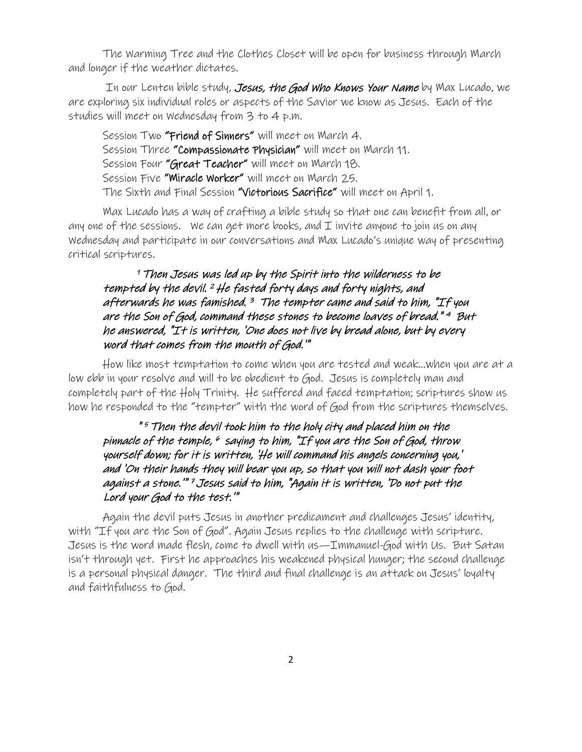The Warming Tree and the Clothes Closet will be open for business through March and longer if the weather dictates.

In our Lenten bible study, Jesus, the God Who Knows Your Name by Max Lucado, we are exploring six individual roles or aspects of the Savior we know as Jesus. Each of the studies will meet on Wednesday from 3 to 4 p.m.

Session Two "Friend of Sinners" will meet on March 4. Session Three "Compassionate Physician" will meet on March 11. Session Four "Great Teacher" will meet on March 18. Session Five "Miracle Worker" will meet on March 25. The Sixth and Final Session "Victorious Sacrifice" will meet on April 1.

Max Lucado has a way of crafting a bible study so that one can benefit from all, or any one of the sessions. We can get more books, and  $I$  invite anyone to join us on any Wednesday and participate in our conversations and Max Lucado's unique way of presenting critical scriptures.

### <sup>1</sup>Then Jesus was led up by the Spirit into the wilderness to be tempted by the devil. <sup>2</sup>He fasted forty days and forty nights, and afterwards he was famished. <sup>3</sup> The tempter came and said to him, "If you are the Son of God, command these stones to become loaves of bread." <sup>4</sup> But he answered, "It is written, 'One does not live by bread alone, but by every word that comes from the mouth of God.'"

How like most temptation to come when you are tested and weak…when you are at a low ebb in your resolve and will to be obedient to God. Jesus is completely man and completely part of the Holy Trinity. He suffered and faced temptation; scriptures show us how he responded to the "tempter" with the word of God from the scriptures themselves.

### " <sup>5</sup> Then the devil took him to the holy city and placed him on the pinnacle of the temple,  $\ ^o$  saying to him, "If you are the Son of God, throw yourself down; for it is written, 'He will command his angels concerning you,' and 'On their hands they will bear you up, so that you will not dash your foot against a stone.'" <sup>7</sup> Jesus said to him, "Again it is written, 'Do not put the Lord your God to the test.'"

Again the devil puts Jesus in another predicament and challenges Jesus' identity, with "If you are the Son of God". Again Jesus replies to the challenge with scripture. Jesus is the word made flesh, come to dwell with us—Immanuel-God with Us. But Satan isn't through yet. First he approaches his weakened physical hunger; the second challenge is a personal physical danger. The third and final challenge is an attack on Jesus' loyalty and faithfulness to God.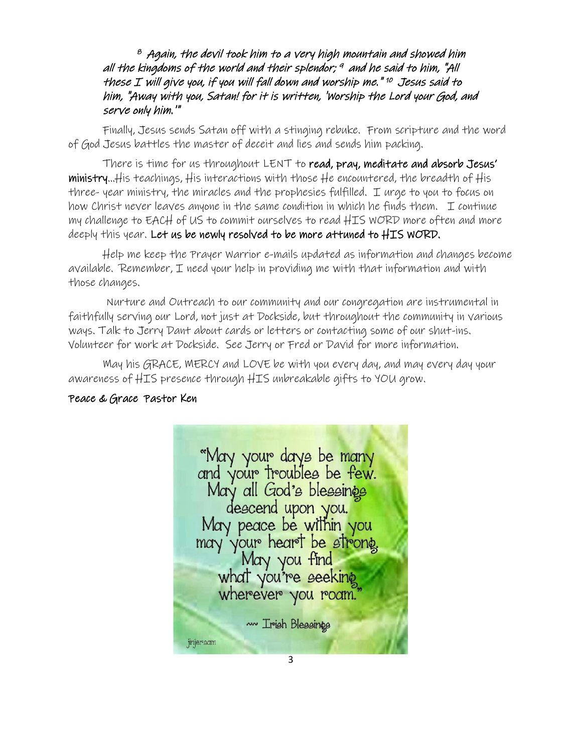### $^{\emph{e}}$  Again, the devil took him to a very high mountain and showed him all the kingdoms of the world and their splendor; 9 and he said to him, "All these I will give you, if you will fall down and worship me." 10 Jesus said to him, "Away with you, Satan! for it is written, 'Worship the Lord your God, and serve only him.'"

Finally, Jesus sends Satan off with a stinging rebuke. From scripture and the word of God Jesus battles the master of deceit and lies and sends him packing.

There is time for us throughout LENT to read, pray, meditate and absorb Jesus' ministry…His teachings, His interactions with those He encountered, the breadth of His three- year ministry, the miracles and the prophesies fulfilled. I urge to you to focus on how Christ never leaves anyone in the same condition in which he finds them.  $\perp$  continue my challenge to EACH of US to commit ourselves to read HIS WORD more often and more deeply this year. Let us be newly resolved to be more attuned to HIS WORD.

Help me keep the Prayer Warrior e-mails updated as information and changes become available. Remember, I need your help in providing me with that information and with those changes.

 Nurture and Outreach to our community and our congregation are instrumental in faithfully serving our Lord, not just at Dockside, but throughout the community in various ways. Talk to Jerry Dant about cards or letters or contacting some of our shut-ins. Volunteer for work at Dockside. See Jerry or Fred or David for more information.

May his GRACE, MERCY and LOVE be with you every day, and may every day your awareness of HIS presence through HIS unbreakable gifts to YOU grow.

### Peace & GracePastor Ken

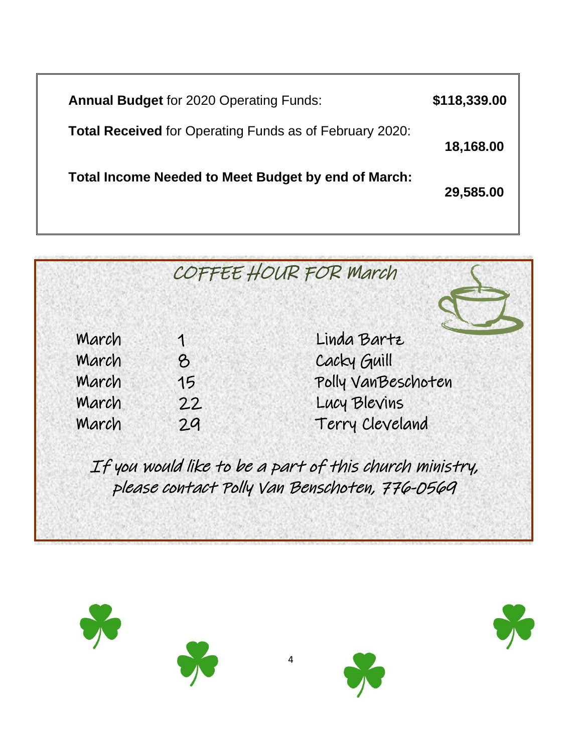**Annual Budget** for 2020 Operating Funds: **\$118,339.00 Total Received** for Operating Funds as of February 2020: **18,168.00 Total Income Needed to Meet Budget by end of March: 29,585.00** 



If you would like to be a part of this church ministry, please contact Polly Van Benschoten, 776-0569

4



į





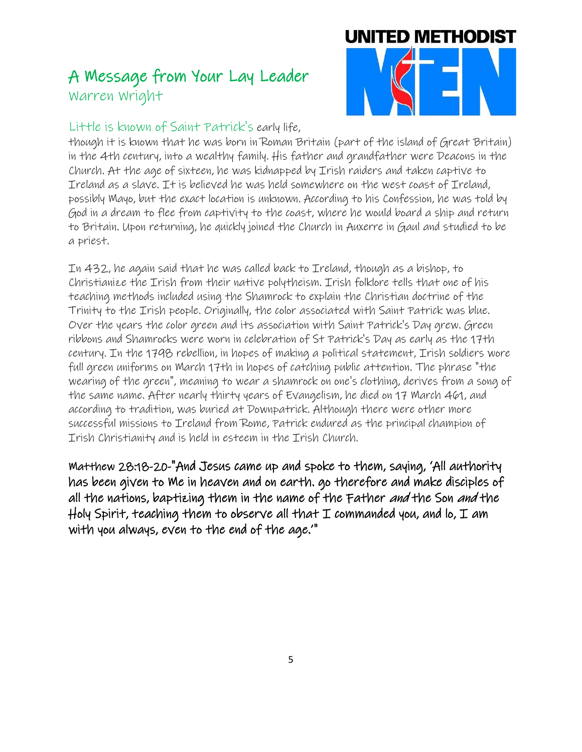## A Message from Your Lay Leader Warren Wright



### Little is known of Saint Patrick's early life,

though it is known that he was born in Roman Britain (part of the island of Great Britain) in the 4th century, into a wealthy family. His father and grandfather were Deacons in the Church. At the age of sixteen, he was kidnapped by Irish raiders and taken captive to Ireland as a slave. It is believed he was held somewhere on the west coast of Ireland, possibly Mayo, but the exact location is unknown. According to his Confession, he was told by God in a dream to flee from captivity to the coast, where he would board a ship and return to Britain. Upon returning, he quickly joined the Church in Auxerre in Gaul and studied to be a priest.

In 432, he again said that he was called back to Ireland, though as a bishop, to Christianize the Irish from their native polytheism. Irish folklore tells that one of his teaching methods included using the Shamrock to explain the Christian doctrine of the Trinity to the Irish people. Originally, the color associated with Saint Patrick was blue. Over the years the color green and its association with Saint Patrick's Day grew. Green ribbons and Shamrocks were worn in celebration of St Patrick's Day as early as the 17th century. In the 1798 rebellion, in hopes of making a political statement, Irish soldiers wore full green uniforms on March 17th in hopes of catching public attention. The phrase "the wearing of the green", meaning to wear a shamrock on one's clothing, derives from a song of the same name. After nearly thirty years of Evangelism, he died on 17 March 461, and according to tradition, was buried at Downpatrick. Although there were other more successful missions to Ireland from Rome, Patrick endured as the principal champion of Irish Christianity and is held in esteem in the Irish Church.

Matthew 28:18-20-"And Jesus came up and spoke to them, saying, 'All authority has been given to Me in heaven and on earth. go therefore and make disciples of all the nations, baptizing them in the name of the Father and the Son and the Holy Spirit, teaching them to observe all that  $I$  commanded you, and lo,  $I$  am with you always, even to the end of the age.'"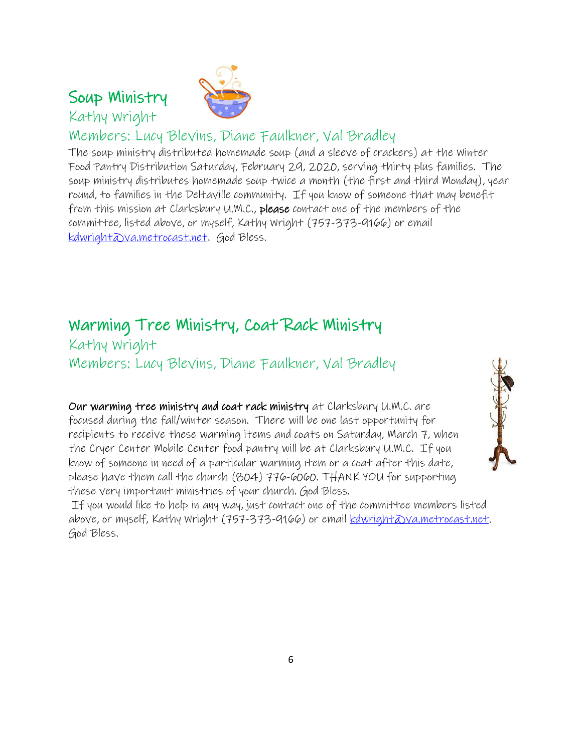Soup Ministry

Kathy Wright



### Members: Lucy Blevins, Diane Faulkner, Val Bradley

The soup ministry distributed homemade soup (and a sleeve of crackers) at the Winter Food Pantry Distribution Saturday, February 29, 2020, serving thirty plus families. The soup ministry distributes homemade soup twice a month (the first and third Monday), year round, to families in the Deltaville community. If you know of someone that may benefit from this mission at Clarksbury U.M.C., please contact one of the members of the committee, listed above, or myself, Kathy Wright (757-373-9166) or email [kdwright@va.metrocast.net.](mailto:kdwright@va.metrocast.net) God Bless.

### Warming Tree Ministry, Coat Rack Ministry

Kathy Wright Members: Lucy Blevins, Diane Faulkner, Val Bradley

Our warming tree ministry and coat rack ministry at Clarksbury U.M.C. are focused during the fall/winter season. There will be one last opportunity for recipients to receive these warming items and coats on Saturday, March 7, when the Cryer Center Mobile Center food pantry will be at Clarksbury U.M.C. If you know of someone in need of a particular warming item or a coat after this date, please have them call the church (804) 776-6060. THANK YOU for supporting these very important ministries of your church. God Bless.



If you would like to help in any way, just contact one of the committee members listed above, or myself, Kathy Wright (757-373-9166) or email kdwright@va.metrocast.net. God Bless.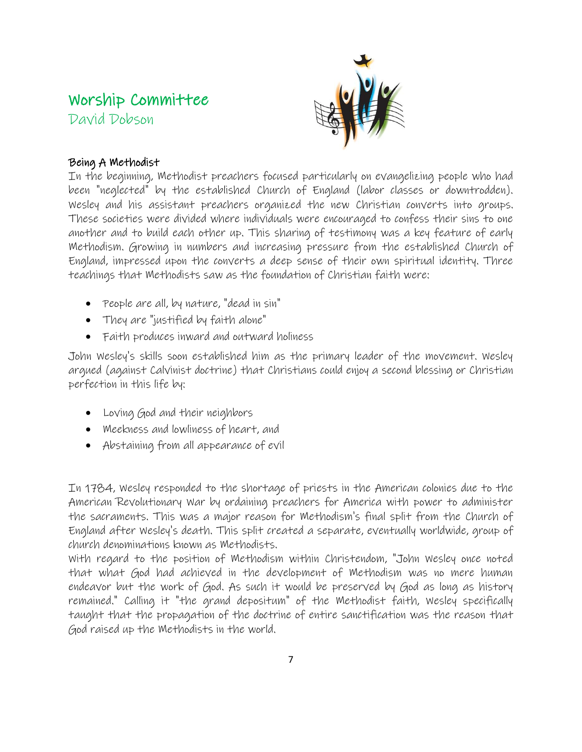# Worship Committee

David Dobson



### Being A Methodist

In the beginning, Methodist preachers focused particularly on evangelizing people who had been "neglected" by the established Church of England (labor classes or downtrodden). Wesley and his assistant preachers organized the new Christian converts into groups. These societies were divided where individuals were encouraged to confess their sins to one another and to build each other up. This sharing of testimony was a key feature of early Methodism. Growing in numbers and increasing pressure from the established Church of England, impressed upon the converts a deep sense of their own spiritual identity. Three teachings that Methodists saw as the foundation of Christian faith were:

- People are all, by nature, "dead in sin"
- They are "justified by faith alone"
- Faith produces inward and outward holiness

John Wesley's skills soon established him as the primary leader of the movement. Wesley argued (against Calvinist doctrine) that Christians could enjoy a [second blessing](https://en.wikipedia.org/wiki/Second_blessing) or Christian perfection in this life by:

- Loving God and their neighbors
- Meekness and lowliness of heart, and
- Abstaining from all appearance of evil

In 1784, Wesley responded to the shortage of priests in the American colonies due to the American Revolutionary War by ordaining preachers for America with power to administer the sacraments. This was a major reason for Methodism's final split from the Church of England after Wesley's death. This split created a separate, eventually worldwide, group of church denominations known as Methodists.

With regard to the position of Methodism within Christendom, "John Wesley once noted that what God had achieved in the development of Methodism was no mere human endeavor but the work of God. As such it would be preserved by God as long as history remained." Calling it "the grand depositum" of the Methodist faith, Wesley specifically taught that the propagation of the doctrine of entire sanctification was the reason that God raised up the Methodists in the world.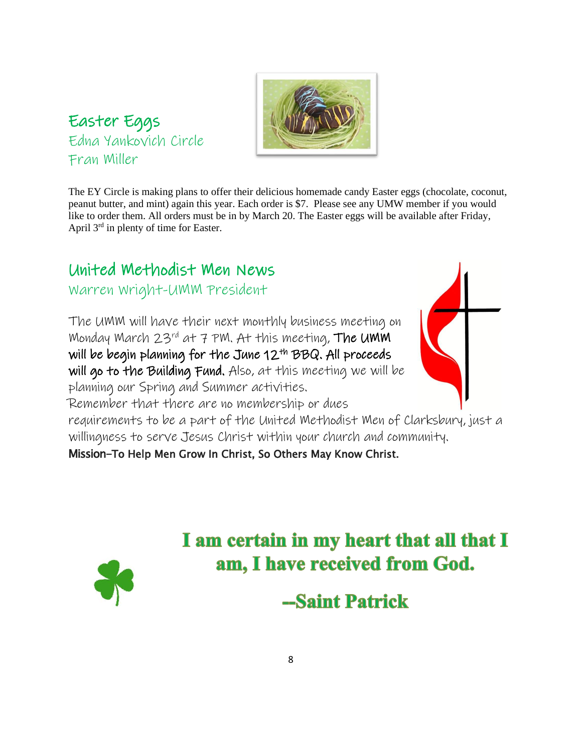### Easter Eggs Edna Yankovich Circle Fran Miller



The EY Circle is making plans to offer their delicious homemade candy Easter eggs (chocolate, coconut, peanut butter, and mint) again this year. Each order is \$7. Please see any UMW member if you would like to order them. All orders must be in by March 20. The Easter eggs will be available after Friday, April  $3<sup>rd</sup>$  in plenty of time for Easter.

# United Methodist Men News

### Warren Wright-UMM President

The UMM will have their next monthly business meeting on Monday March  $23^{rd}$  at 7 PM. At this meeting, The UMM will be begin planning for the June 12th BBQ. All proceeds will go to the Building Fund. Also, at this meeting we will be planning our Spring and Summer activities. Remember that there are no membership or dues requirements to be a part of the United Methodist Men of Clarksbury, just a willingness to serve Jesus Christ within your church and community.

Mission-To Help Men Grow In Christ, So Others May Know Christ.



I am certain in my heart that all that I am, I have received from God.

-Saint Patrick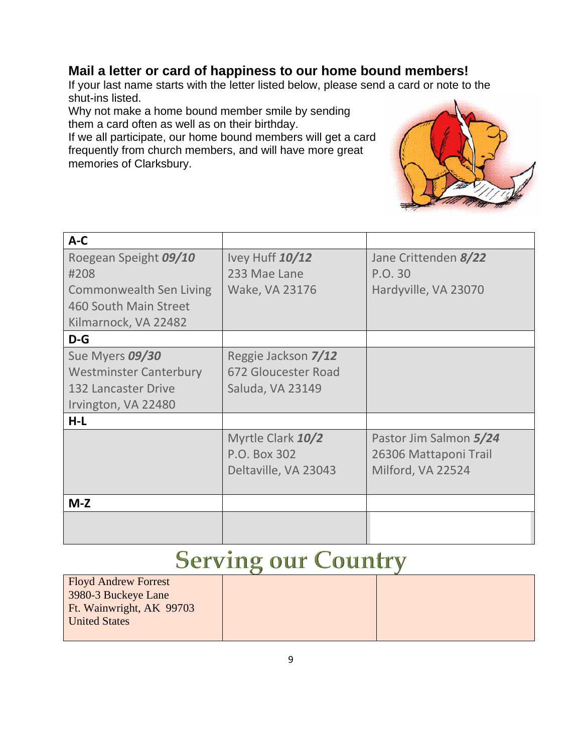### **Mail a letter or card of happiness to our home bound members!**

If your last name starts with the letter listed below, please send a card or note to the shut-ins listed.

Why not make a home bound member smile by sending them a card often as well as on their birthday.

If we all participate, our home bound members will get a card frequently from church members, and will have more great memories of Clarksbury.



| $A-C$                          |                      |                        |
|--------------------------------|----------------------|------------------------|
| Roegean Speight 09/10          | Ivey Huff 10/12      | Jane Crittenden 8/22   |
| #208                           | 233 Mae Lane         | P.O. 30                |
| <b>Commonwealth Sen Living</b> | Wake, VA 23176       | Hardyville, VA 23070   |
| 460 South Main Street          |                      |                        |
| Kilmarnock, VA 22482           |                      |                        |
| $D-G$                          |                      |                        |
| Sue Myers 09/30                | Reggie Jackson 7/12  |                        |
| <b>Westminster Canterbury</b>  | 672 Gloucester Road  |                        |
| <b>132 Lancaster Drive</b>     | Saluda, VA 23149     |                        |
| Irvington, VA 22480            |                      |                        |
| $H-L$                          |                      |                        |
|                                | Myrtle Clark 10/2    | Pastor Jim Salmon 5/24 |
|                                | P.O. Box 302         | 26306 Mattaponi Trail  |
|                                | Deltaville, VA 23043 | Milford, VA 22524      |
|                                |                      |                        |
| $M-Z$                          |                      |                        |
|                                |                      |                        |
|                                |                      |                        |

# **Serving our Country**

| <b>Floyd Andrew Forrest</b> |  |
|-----------------------------|--|
| 3980-3 Buckeye Lane         |  |
| Ft. Wainwright, AK 99703    |  |
| <b>United States</b>        |  |
|                             |  |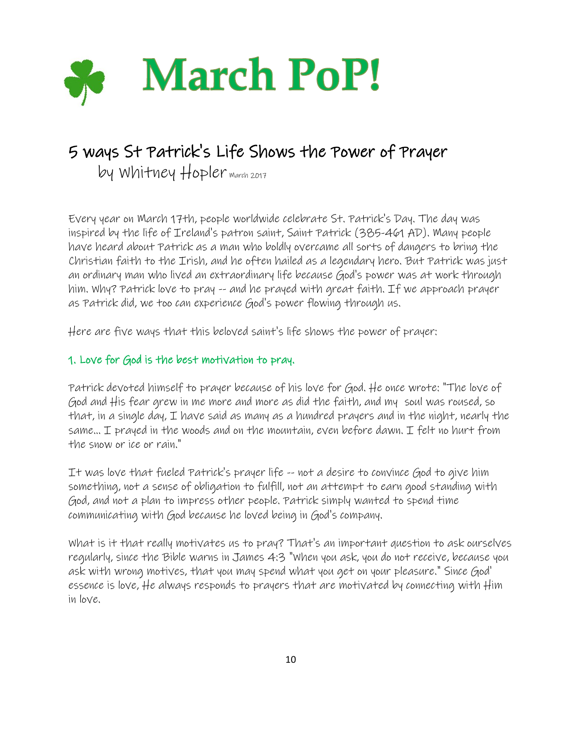

# 5 ways St Patrick's Life Shows the Power of Prayer

by Whitney  $H_{\text{op}}$ ler march 2017

Every year on March 17th, people worldwide celebrate St. Patrick's Day. The day was inspired by the life of Ireland's patron saint, Saint Patrick (385-461 AD). Many people have heard about Patrick as a man who boldly overcame all sorts of dangers to bring the Christian faith to the Irish, and he often hailed as a legendary hero. But Patrick was just an ordinary man who lived an extraordinary life because God's power was at work through him. Why? Patrick love to pray -- and he prayed with great faith. If we approach prayer as Patrick did, we too can experience God's power flowing through us.

Here are five ways that this beloved saint's life shows the power of prayer:

### 1. Love for God is the best motivation to pray.

Patrick devoted himself to prayer because of his love for God. He once wrote: "The love of God and His fear grew in me more and more as did the faith, and my soul was roused, so that, in a single day, I have said as many as a hundred prayers and in the night, nearly the same... I prayed in the woods and on the mountain, even before dawn. I felt no hurt from the snow or ice or rain."

It was love that fueled Patrick's prayer life -- not a desire to convince God to give him something, not a sense of obligation to fulfill, not an attempt to earn good standing with God, and not a plan to impress other people. Patrick simply wanted to spend time communicating with God because he loved being in God's company.

What is it that really motivates us to pray? That's an important question to ask ourselves regularly, since the Bible warns in James 4:3 "When you ask, you do not receive, because you ask with wrong motives, that you may spend what you get on your pleasure." Since God' essence is love, He always responds to prayers that are motivated by connecting with Him in love.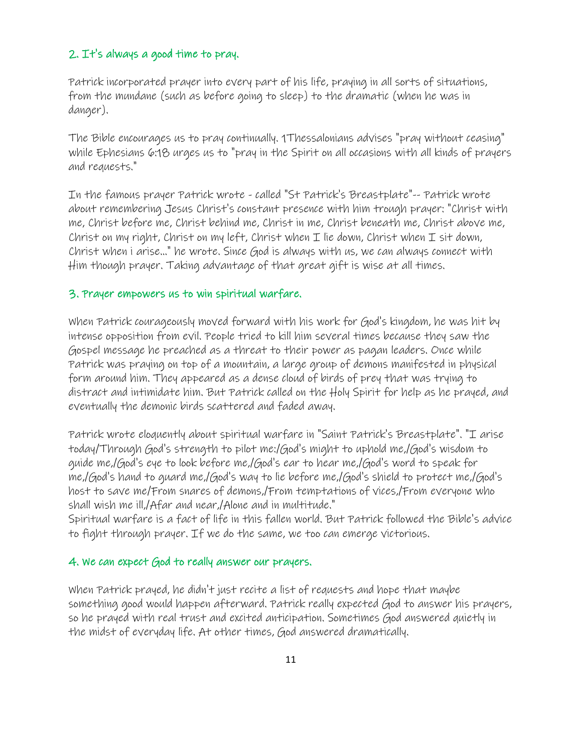#### 2. It's always a good time to pray.

Patrick incorporated prayer into every part of his life, praying in all sorts of situations, from the mundane (such as before going to sleep) to the dramatic (when he was in danger).

The Bible encourages us to pray continually. 1Thessalonians advises "pray without ceasing" while Ephesians 6:18 urges us to "pray in the Spirit on all occasions with all kinds of prayers and requests."

In the famous prayer Patrick wrote - called "St Patrick's Breastplate"-- Patrick wrote about remembering Jesus Christ's constant presence with him trough prayer: "Christ with me, Christ before me, Christ behind me, Christ in me, Christ beneath me, Christ above me, Christ on my right, Christ on my left, Christ when  $I$  lie down, Christ when  $I$  sit down, Christ when i arise..." he wrote. Since God is always with us, we can always connect with Him though prayer. Taking advantage of that great gift is wise at all times.

#### 3. Prayer empowers us to win spiritual warfare.

When Patrick courageously moved forward with his work for God's kingdom, he was hit by intense opposition from evil. People tried to kill him several times because they saw the Gospel message he preached as a threat to their power as pagan leaders. Once while Patrick was praying on top of a mountain, a large group of demons manifested in physical form around him. They appeared as a dense cloud of birds of prey that was trying to distract and intimidate him. But Patrick called on the Holy Spirit for help as he prayed, and eventually the demonic birds scattered and faded away.

Patrick wrote eloquently about spiritual warfare in "Saint Patrick's Breastplate". "I arise today/Through God's strength to pilot me:/God's might to uphold me,/God's wisdom to guide me,/God's eye to look before me,/God's ear to hear me,/God's word to speak for me,/God's hand to guard me,/God's way to lie before me,/God's shield to protect me,/God's host to save me/From snares of demons,/From temptations of vices,/From everyone who shall wish me ill,/Afar and near,/Alone and in multitude."

Spiritual warfare is a fact of life in this fallen world. But Patrick followed the Bible's advice to fight through prayer. If we do the same, we too can emerge victorious.

#### 4. We can expect God to really answer our prayers.

When Patrick prayed, he didn't just recite a list of requests and hope that maybe something good would happen afterward. Patrick really expected God to answer his prayers, so he prayed with real trust and excited anticipation. Sometimes God answered quietly in the midst of everyday life. At other times, God answered dramatically.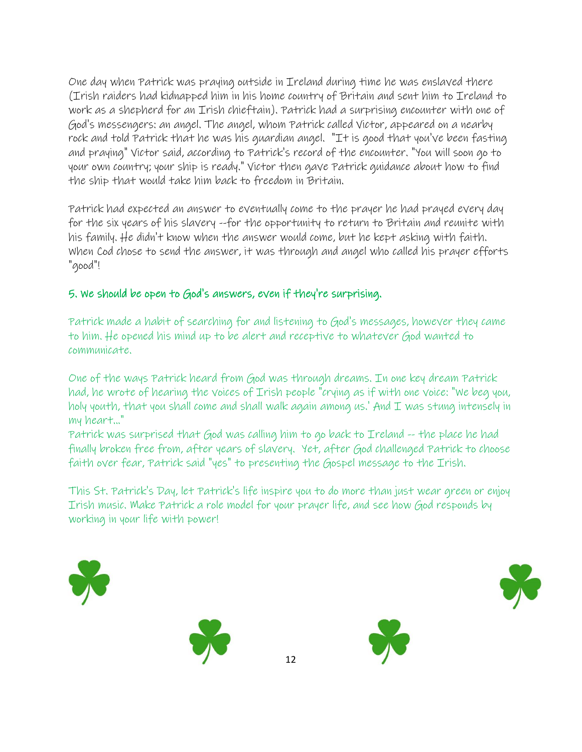One day when Patrick was praying outside in Ireland during time he was enslaved there (Irish raiders had kidnapped him in his home country of Britain and sent him to Ireland to work as a shepherd for an Irish chieftain). Patrick had a surprising encounter with one of God's messengers: an angel. The angel, whom Patrick called Victor, appeared on a nearby rock and told Patrick that he was his guardian angel. "It is good that you've been fasting and praying" Victor said, according to Patrick's record of the encounter. "You will soon go to your own country; your ship is ready." Victor then gave Patrick guidance about how to find the ship that would take him back to freedom in Britain.

Patrick had expected an answer to eventually come to the prayer he had prayed every day for the six years of his slavery --for the opportunity to return to Britain and reunite with his family. He didn't know when the answer would come, but he kept asking with faith. When Cod chose to send the answer, it was through and angel who called his prayer efforts "good"!

### 5. We should be open to God's answers, even if they're surprising.

Patrick made a habit of searching for and listening to God's messages, however they came to him. He opened his mind up to be alert and receptive to whatever God wanted to communicate.

One of the ways Patrick heard from God was through dreams. In one key dream Patrick had, he wrote of hearing the voices of Irish people "crying as if with one voice: "We beg you, holy youth, that you shall come and shall walk again among us.' And I was stung intensely in my heart..."

Patrick was surprised that God was calling him to go back to Ireland -- the place he had finally broken free from, after years of slavery. Yet, after God challenged Patrick to choose faith over fear, Patrick said "yes" to presenting the Gospel message to the Irish.

This St. Patrick's Day, let Patrick's life inspire you to do more than just wear green or enjoy Irish music. Make Patrick a role model for your prayer life, and see how God responds by working in your life with power!